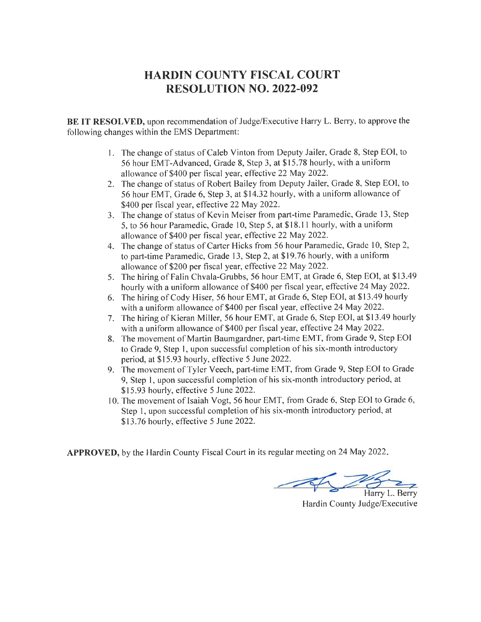## HARDIN COUNTY FISCAL COURT RESOLUTION NO. 2022.092

BE IT RESOLVED, upon recommendation of Judge/Executive Harry L. Berry, to approve the following changes within the EMS Department:

- l. The change of status of Caleb Vinton from Deputy Jailer, Grade 8, Step EOI, to 56 hour EMT-Advanced, Grade 8, Step 3, at \$ 15.78 hourly, with a uniform allowance of \$400 per fiscal year, effective 22 May 2022.
- 2. The change of status of Robert Bailey from Deputy Jailer, Grade 8, Step EOI, to 56 hour EMT, Grade 6, Step 3, at \$14.32 hourly, with a uniform allowance of \$400 per fiscal year, effective 22 May 2022.
- 3. The change of status of Kevin Meiser from part-time Paramedic, Grade 13, Step 5, to 56 hour Paramedic, Grade 10, Step 5, at \$18.11 hourly, with a uniform allowance of \$400 per fiscal year, effective 22 May 2022.
- 4. The change of status of Carter Hicks from 56 hour Paramedic, Grade 10, Step 2, to part-time Paramedic, Grade 13, Step 2, at \$19.76 hourly, with a uniform allowance of \$200 per fiscal year, effective 22 May 2022.
- 5. The hiring of Falin Chvala-Grubbs, 56 hour EMT, at Grade 6, Step EOI, at \$13.49 hourly with a uniform allowance of \$400 per fiscal year, effective 24 May 2022.
- 6. The hiring of Cody Hiser, 56 hour EMT, at Grade 6, Step EOI, at \$13.49 hourly with a uniform allowance of \$400 per fiscal year, effective 24 May 2022.
- 7. The hiring of Kieran Miller, 56 hour EMT, at Grade 6, Step EOI, at \$13.49 hourly with a uniform allowance of \$400 per fiscal year, effective 24 May 2022.
- 8. The movement of Martin Baumgardner, part-time EMT, from Grade 9, Step EOI to Grade 9, Step l, upon successful completion of his six-month introductory period, at \$15.93 hourly, effective 5 June2022.
- 9. The movement of Tyler Veech, part-time EMT, from Grade 9, Step EOI to Grade 9, Step l, upon successful completion of his six-month introductory period, at \$15.93 hourly, effective 5 June 2022.
- 10. The movement of Isaiah Vogt, 56 hour EMT, from Grade 6, Step EOI to Grade 6, Step l, upon successful completion of his six-month introductory period, at \$13.76 hourly, effective 5 June 2022.

APPROVED, by the Hardin County Fiscal Court in its regular meeting on 24 May 2022

Harry L. Berry Hardin County Judge/Executive